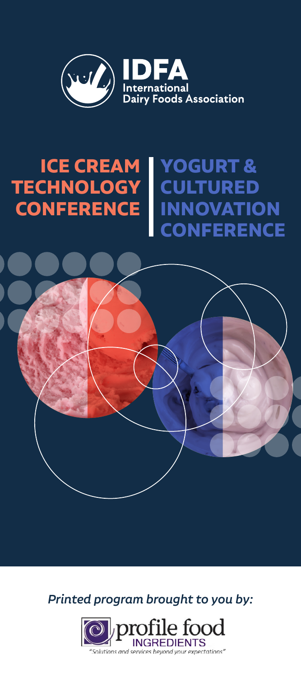

# **ICE CREAM TECHNOLOGY CONFERENCE YOGURT & CULTURED INNOVATION CONFERENCE**



*Printed program brought to you by:* 

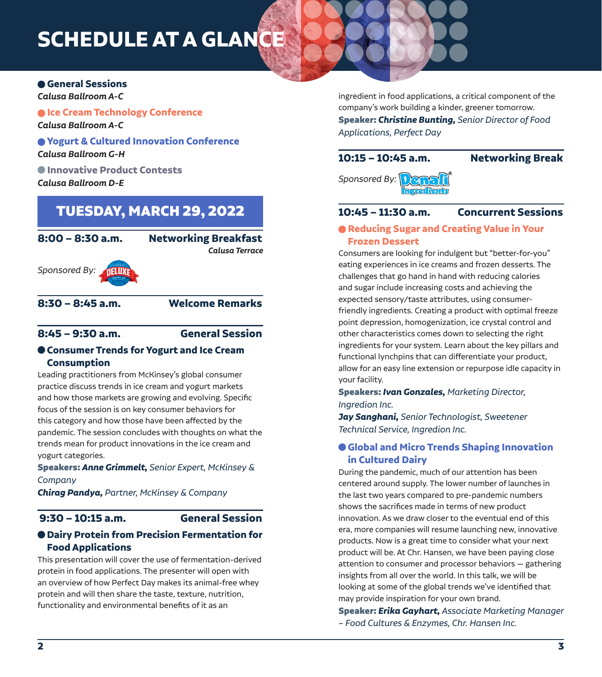# **General Sessions**

*Calusa Ballroom A-C*

 $\bullet$  **Ice Cream Technology Conference** *Calusa Ballroom A-C*

# **Yogurt & Cultured Innovation Conference** *Calusa Ballroom G-H*

 **Innovative Product Contests** *Calusa Ballroom D-E*

# TUESDAY, MARCH 29, 2022

| $8:00 - 8:30$ a.m.  | <b>Networking Breakfast</b><br>Calusa Terrace |
|---------------------|-----------------------------------------------|
| Sponsored By: THUME |                                               |
| $8:30 - 8:45$ a.m.  | <b>Welcome Remarks</b>                        |

# **8:45 – 9:30 a.m. General Session**

# **Consumer Trends for Yogurt and Ice Cream Consumption**

Leading practitioners from McKinsey's global consumer practice discuss trends in ice cream and yogurt markets and how those markets are growing and evolving. Specific focus of the session is on key consumer behaviors for this category and how those have been affected by the pandemic. The session concludes with thoughts on what the trends mean for product innovations in the ice cream and yogurt categories.

Speakers: *Anne Grimmelt, Senior Expert, McKinsey & Company* 

*Chirag Pandya, Partner, McKinsey & Company* 

# **9:30 – 10:15 a.m. General Session**

# **Dairy Protein from Precision Fermentation for Food Applications**

This presentation will cover the use of fermentation-derived protein in food applications. The presenter will open with an overview of how Perfect Day makes its animal-free whey protein and will then share the taste, texture, nutrition, functionality and environmental benefits of it as an

ingredient in food applications, a critical component of the company's work building a kinder, greener tomorrow. Speaker: *Christine Bunting, Senior Director of Food Applications, Perfect Day*

# **10:15 – 10:45 a.m. Networking Break**

*Sponsored By:* 

# **10:45 – 11:30 a.m. Concurrent Sessions**

# **Reducing Sugar and Creating Value in Your Frozen Dessert**

Consumers are looking for indulgent but "better-for-you" eating experiences in ice creams and frozen desserts. The challenges that go hand in hand with reducing calories and sugar include increasing costs and achieving the expected sensory/taste attributes, using consumerfriendly ingredients. Creating a product with optimal freeze point depression, homogenization, ice crystal control and other characteristics comes down to selecting the right ingredients for your system. Learn about the key pillars and functional lynchpins that can differentiate your product, allow for an easy line extension or repurpose idle capacity in your facility.

Speakers: *Ivan Gonzales, Marketing Director, Ingredion Inc.* 

*Jay Sanghani, Senior Technologist, Sweetener Technical Service, Ingredion Inc.* 

# **Global and Micro Trends Shaping Innovation in Cultured Dairy**

During the pandemic, much of our attention has been centered around supply. The lower number of launches in the last two years compared to pre-pandemic numbers shows the sacrifices made in terms of new product innovation. As we draw closer to the eventual end of this era, more companies will resume launching new, innovative products. Now is a great time to consider what your next product will be. At Chr. Hansen, we have been paying close attention to consumer and processor behaviors — gathering insights from all over the world. In this talk, we will be looking at some of the global trends we've identified that may provide inspiration for your own brand.

Speaker: *Erika Gayhart, Associate Marketing Manager – Food Cultures & Enzymes, Chr. Hansen Inc.*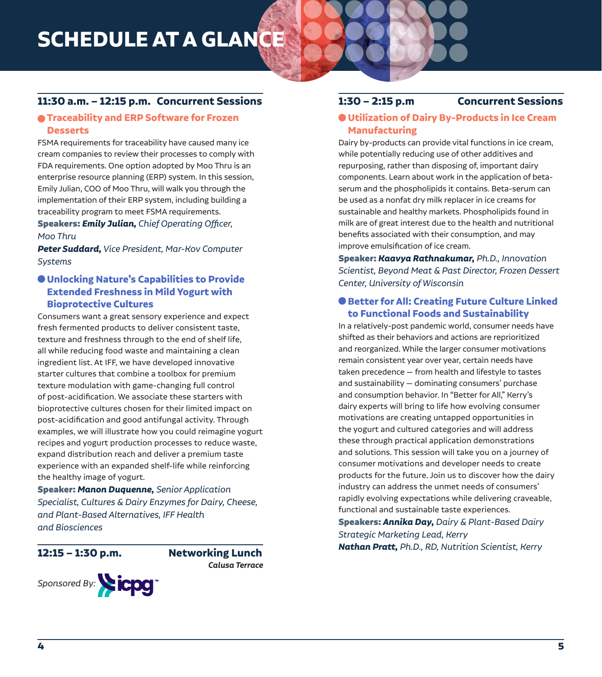# **11:30 a.m. – 12:15 p.m. Concurrent Sessions**

# **Traceability and ERP Software for Frozen Desserts**

FSMA requirements for traceability have caused many ice cream companies to review their processes to comply with FDA requirements. One option adopted by Moo Thru is an enterprise resource planning (ERP) system. In this session, Emily Julian, COO of Moo Thru, will walk you through the implementation of their ERP system, including building a traceability program to meet FSMA requirements.

Speakers: *Emily Julian, Chief Operating Officer, Moo Thru*

*Peter Suddard, Vice President, Mar-Kov Computer Systems* 

# **Unlocking Nature's Capabilities to Provide Extended Freshness in Mild Yogurt with Bioprotective Cultures**

Consumers want a great sensory experience and expect fresh fermented products to deliver consistent taste, texture and freshness through to the end of shelf life, all while reducing food waste and maintaining a clean ingredient list. At IFF, we have developed innovative starter cultures that combine a toolbox for premium texture modulation with game-changing full control of post-acidification. We associate these starters with bioprotective cultures chosen for their limited impact on post-acidification and good antifungal activity. Through examples, we will illustrate how you could reimagine yogurt recipes and yogurt production processes to reduce waste, expand distribution reach and deliver a premium taste experience with an expanded shelf-life while reinforcing the healthy image of yogurt.

Speaker: *Manon Duquenne, Senior Application Specialist, Cultures & Dairy Enzymes for Dairy, Cheese, and Plant-Based Alternatives, IFF Health and Biosciences* 

**12:15 – 1:30 p.m. Networking Lunch** *Calusa Terrace* 



## **1:30 – 2:15 p.m Concurrent Sessions**

# **Utilization of Dairy By-Products in Ice Cream Manufacturing**

Dairy by-products can provide vital functions in ice cream, while potentially reducing use of other additives and repurposing, rather than disposing of, important dairy components. Learn about work in the application of betaserum and the phospholipids it contains. Beta-serum can be used as a nonfat dry milk replacer in ice creams for sustainable and healthy markets. Phospholipids found in milk are of great interest due to the health and nutritional benefits associated with their consumption, and may improve emulsification of ice cream.

Speaker: *Kaavya Rathnakumar, Ph.D., Innovation Scientist, Beyond Meat & Past Director, Frozen Dessert Center, University of Wisconsin* 

# **Better for All: Creating Future Culture Linked to Functional Foods and Sustainability**

In a relatively-post pandemic world, consumer needs have shifted as their behaviors and actions are reprioritized and reorganized. While the larger consumer motivations remain consistent year over year, certain needs have taken precedence — from health and lifestyle to tastes and sustainability — dominating consumers' purchase and consumption behavior. In "Better for All," Kerry's dairy experts will bring to life how evolving consumer motivations are creating untapped opportunities in the yogurt and cultured categories and will address these through practical application demonstrations and solutions. This session will take you on a journey of consumer motivations and developer needs to create products for the future. Join us to discover how the dairy industry can address the unmet needs of consumers' rapidly evolving expectations while delivering craveable, functional and sustainable taste experiences.

Speakers: *Annika Day, Dairy & Plant-Based Dairy Strategic Marketing Lead, Kerry Nathan Pratt, Ph.D., RD, Nutrition Scientist, Kerry*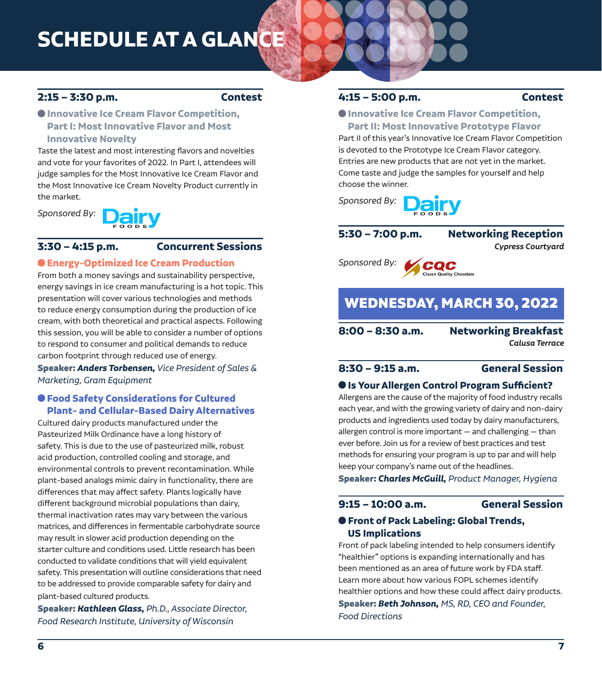# **2:15 – 3:30 p.m. Contest**

# **Innovative Ice Cream Flavor Competition, Part I: Most Innovative Flavor and Most Innovative Novelty**

Taste the latest and most interesting flavors and novelties and vote for your favorites of 2022. In Part I, attendees will judge samples for the Most Innovative Ice Cream Flavor and the Most Innovative Ice Cream Novelty Product currently in the market.

*Sponsored By:* 



# **3:30 – 4:15 p.m. Concurrent Sessions**

### **Energy-Optimized Ice Cream Production**

From both a money savings and sustainability perspective, energy savings in ice cream manufacturing is a hot topic. This presentation will cover various technologies and methods to reduce energy consumption during the production of ice cream, with both theoretical and practical aspects. Following this session, you will be able to consider a number of options to respond to consumer and political demands to reduce carbon footprint through reduced use of energy.

Speaker: *Anders Torbensen, Vice President of Sales & Marketing, Gram Equipment* 

# **Food Safety Considerations for Cultured Plant- and Cellular-Based Dairy Alternatives**

Cultured dairy products manufactured under the Pasteurized Milk Ordinance have a long history of safety. This is due to the use of pasteurized milk, robust acid production, controlled cooling and storage, and environmental controls to prevent recontamination. While plant-based analogs mimic dairy in functionality, there are differences that may affect safety. Plants logically have different background microbial populations than dairy, thermal inactivation rates may vary between the various matrices, and differences in fermentable carbohydrate source may result in slower acid production depending on the starter culture and conditions used. Little research has been conducted to validate conditions that will yield equivalent safety. This presentation will outline considerations that need to be addressed to provide comparable safety for dairy and plant-based cultured products.

Speaker: *Kathleen Glass, Ph.D., Associate Director, Food Research Institute, University of Wisconsin* 

# **4:15 – 5:00 p.m. Contest**

### **Innovative Ice Cream Flavor Competition, Part II: Most Innovative Prototype Flavor**

Part II of this year's Innovative Ice Cream Flavor Competition is devoted to the Prototype Ice Cream Flavor category. Entries are new products that are not yet in the market. Come taste and judge the samples for yourself and help choose the winner.



**5:30 – 7:00 p.m. Networking Reception**

*Cypress Courtyard* 

*Sponsored By:*  **V**cQC

# WEDNESDAY, MARCH 30, 2022

**8:00 – 8:30 a.m. Networking Breakfast**

*Calusa Terrace* 

# **8:30 – 9:15 a.m. General Session**

## **Is Your Allergen Control Program Sufficient?**

Allergens are the cause of the majority of food industry recalls each year, and with the growing variety of dairy and non-dairy products and ingredients used today by dairy manufacturers, allergen control is more important — and challenging — than ever before. Join us for a review of best practices and test methods for ensuring your program is up to par and will help keep your company's name out of the headlines.

Speaker: *Charles McGuill, Product Manager, Hygiena*

### **9:15 – 10:00 a.m. General Session**

# **Front of Pack Labeling: Global Trends, US Implications**

Front of pack labeling intended to help consumers identify "healthier" options is expanding internationally and has been mentioned as an area of future work by FDA staff. Learn more about how various FOPL schemes identify healthier options and how these could affect dairy products. Speaker: *Beth Johnson, MS, RD, CEO and Founder, Food Directions*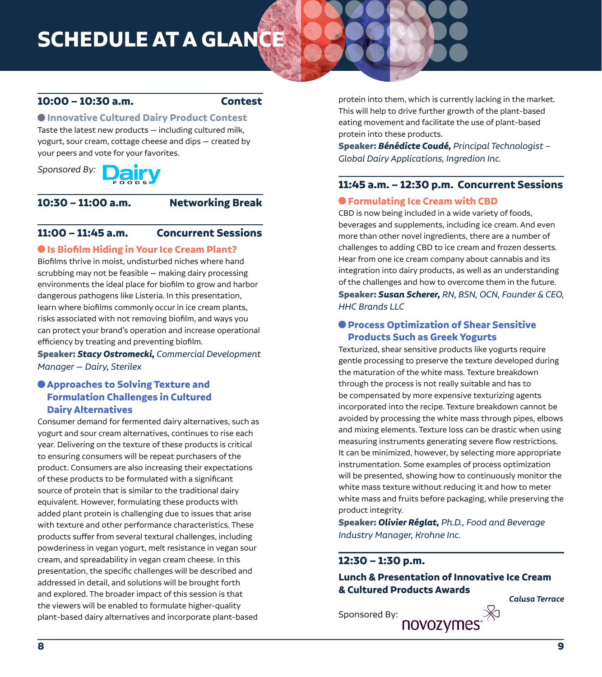# **10:00 – 10:30 a.m. Contest**

# **Innovative Cultured Dairy Product Contest**

Taste the latest new products — including cultured milk, yogurt, sour cream, cottage cheese and dips — created by your peers and vote for your favorites.

Sponsored By: **Dairy** 

### **10:30 – 11:00 a.m. Networking Break**

# **11:00 – 11:45 a.m. Concurrent Sessions**

# **Is Biofilm Hiding in Your Ice Cream Plant?**

Biofilms thrive in moist, undisturbed niches where hand scrubbing may not be feasible — making dairy processing environments the ideal place for biofilm to grow and harbor dangerous pathogens like Listeria. In this presentation, learn where biofilms commonly occur in ice cream plants, risks associated with not removing biofilm, and ways you can protect your brand's operation and increase operational efficiency by treating and preventing biofilm.

Speaker: *Stacy Ostromecki, Commercial Development Manager — Dairy, Sterilex* 

# **Approaches to Solving Texture and Formulation Challenges in Cultured Dairy Alternatives**

Consumer demand for fermented dairy alternatives, such as yogurt and sour cream alternatives, continues to rise each year. Delivering on the texture of these products is critical to ensuring consumers will be repeat purchasers of the product. Consumers are also increasing their expectations of these products to be formulated with a significant source of protein that is similar to the traditional dairy equivalent. However, formulating these products with added plant protein is challenging due to issues that arise with texture and other performance characteristics. These products suffer from several textural challenges, including powderiness in vegan yogurt, melt resistance in vegan sour cream, and spreadability in vegan cream cheese. In this presentation, the specific challenges will be described and addressed in detail, and solutions will be brought forth and explored. The broader impact of this session is that the viewers will be enabled to formulate higher-quality plant-based dairy alternatives and incorporate plant-based

protein into them, which is currently lacking in the market. This will help to drive further growth of the plant-based eating movement and facilitate the use of plant-based protein into these products.

Speaker: *Bénédicte Coudé, Principal Technologist – Global Dairy Applications, Ingredion Inc.* 

# **11:45 a.m. – 12:30 p.m. Concurrent Sessions**

## **Formulating Ice Cream with CBD**

CBD is now being included in a wide variety of foods, beverages and supplements, including ice cream. And even more than other novel ingredients, there are a number of challenges to adding CBD to ice cream and frozen desserts. Hear from one ice cream company about cannabis and its integration into dairy products, as well as an understanding of the challenges and how to overcome them in the future. Speaker: *Susan Scherer, RN, BSN, OCN, Founder & CEO, HHC Brands LLC* 

# **Process Optimization of Shear Sensitive Products Such as Greek Yogurts**

Texturized, shear sensitive products like yogurts require gentle processing to preserve the texture developed during the maturation of the white mass. Texture breakdown through the process is not really suitable and has to be compensated by more expensive texturizing agents incorporated into the recipe. Texture breakdown cannot be avoided by processing the white mass through pipes, elbows and mixing elements. Texture loss can be drastic when using measuring instruments generating severe flow restrictions. It can be minimized, however, by selecting more appropriate instrumentation. Some examples of process optimization will be presented, showing how to continuously monitor the white mass texture without reducing it and how to meter white mass and fruits before packaging, while preserving the product integrity.

Speaker: *Olivier Réglat, Ph.D., Food and Beverage Industry Manager, Krohne Inc.* 

# **12:30 – 1:30 p.m.**

# **Lunch & Presentation of Innovative Ice Cream & Cultured Products Awards**

Sponsored By: **NOVOZYMES**<sup>X</sup>

*Calusa Terrace*

**8 9**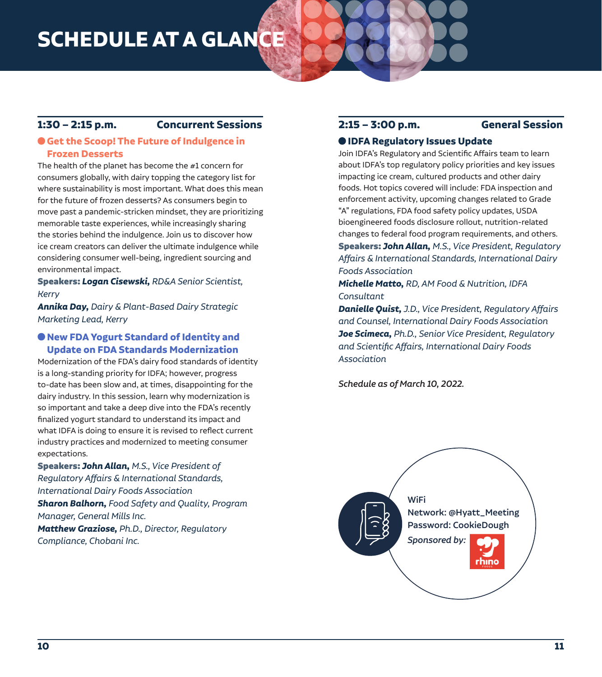# **1:30 – 2:15 p.m. Concurrent Sessions**

# **Get the Scoop! The Future of Indulgence in Frozen Desserts**

The health of the planet has become the #1 concern for consumers globally, with dairy topping the category list for where sustainability is most important. What does this mean for the future of frozen desserts? As consumers begin to move past a pandemic-stricken mindset, they are prioritizing memorable taste experiences, while increasingly sharing the stories behind the indulgence. Join us to discover how ice cream creators can deliver the ultimate indulgence while considering consumer well-being, ingredient sourcing and environmental impact.

Speakers: *Logan Cisewski, RD&A Senior Scientist, Kerry* 

*Annika Day, Dairy & Plant-Based Dairy Strategic Marketing Lead, Kerry* 

# **New FDA Yogurt Standard of Identity and Update on FDA Standards Modernization**

Modernization of the FDA's dairy food standards of identity is a long-standing priority for IDFA; however, progress to-date has been slow and, at times, disappointing for the dairy industry. In this session, learn why modernization is so important and take a deep dive into the FDA's recently finalized yogurt standard to understand its impact and what IDFA is doing to ensure it is revised to reflect current industry practices and modernized to meeting consumer expectations.

Speakers: *John Allan, M.S., Vice President of Regulatory Affairs & International Standards, International Dairy Foods Association Sharon Balhorn, Food Safety and Quality, Program Manager, General Mills Inc. Matthew Graziose, Ph.D., Director, Regulatory Compliance, Chobani Inc.* 

# **2:15 – 3:00 p.m. General Session**

# **IDFA Regulatory Issues Update**

Join IDFA's Regulatory and Scientific Affairs team to learn about IDFA's top regulatory policy priorities and key issues impacting ice cream, cultured products and other dairy foods. Hot topics covered will include: FDA inspection and enforcement activity, upcoming changes related to Grade "A" regulations, FDA food safety policy updates, USDA bioengineered foods disclosure rollout, nutrition-related changes to federal food program requirements, and others. Speakers: *John Allan, M.S., Vice President, Regulatory Affairs & International Standards, International Dairy* 

*Foods Association* 

*Michelle Matto, RD, AM Food & Nutrition, IDFA Consultant*

*Danielle Quist, J.D., Vice President, Regulatory Affairs and Counsel, International Dairy Foods Association Joe Scimeca, Ph.D., Senior Vice President, Regulatory and Scientific Affairs, International Dairy Foods Association*

*Schedule as of March 10, 2022.*